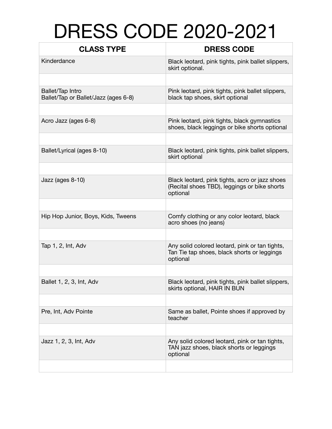## DRESS CODE 2020-2021

| <b>CLASS TYPE</b>                                               | <b>DRESS CODE</b>                                                                                          |
|-----------------------------------------------------------------|------------------------------------------------------------------------------------------------------------|
| Kinderdance                                                     | Black leotard, pink tights, pink ballet slippers,<br>skirt optional.                                       |
|                                                                 |                                                                                                            |
| <b>Ballet/Tap Intro</b><br>Ballet/Tap or Ballet/Jazz (ages 6-8) | Pink leotard, pink tights, pink ballet slippers,<br>black tap shoes, skirt optional                        |
|                                                                 |                                                                                                            |
| Acro Jazz (ages 6-8)                                            | Pink leotard, pink tights, black gymnastics<br>shoes, black leggings or bike shorts optional               |
|                                                                 |                                                                                                            |
| Ballet/Lyrical (ages 8-10)                                      | Black leotard, pink tights, pink ballet slippers,<br>skirt optional                                        |
|                                                                 |                                                                                                            |
| Jazz (ages 8-10)                                                | Black leotard, pink tights, acro or jazz shoes<br>(Recital shoes TBD), leggings or bike shorts<br>optional |
|                                                                 |                                                                                                            |
| Hip Hop Junior, Boys, Kids, Tweens                              | Comfy clothing or any color leotard, black<br>acro shoes (no jeans)                                        |
|                                                                 |                                                                                                            |
| Tap 1, 2, Int, Adv                                              | Any solid colored leotard, pink or tan tights,<br>Tan Tie tap shoes, black shorts or leggings<br>optional  |
|                                                                 |                                                                                                            |
| Ballet 1, 2, 3, Int, Adv                                        | Black leotard, pink tights, pink ballet slippers,<br>skirts optional, HAIR IN BUN                          |
|                                                                 |                                                                                                            |
| Pre, Int, Adv Pointe                                            | Same as ballet, Pointe shoes if approved by<br>teacher                                                     |
|                                                                 |                                                                                                            |
| Jazz 1, 2, 3, Int, Adv                                          | Any solid colored leotard, pink or tan tights,<br>TAN jazz shoes, black shorts or leggings<br>optional     |
|                                                                 |                                                                                                            |